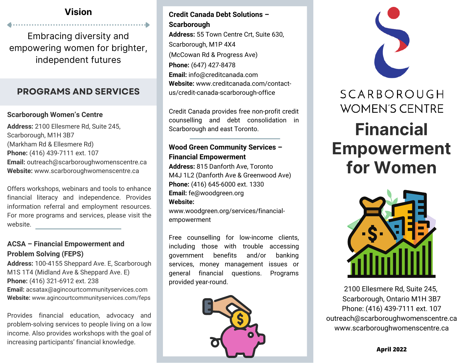## **Vision**

Embracing diversity and empowering women for brighter, independent futures

# **PROGRAMS AND SERVICES**

### **Scarborough Women's Centre**

**Address:** 2100 Ellesmere Rd, Suite 245, Scarborough, M1H 3B7 (Markham Rd & Ellesmere Rd) **Phone:** (416) 439-7111 ext. 107 **Email:** outreach@scarboroughwomenscentre.ca **Website:** [www.scarboroughwomenscentre.ca](http://www.scarboroughwomenscentre.ca/workshops/)

Offers workshops, webinars and tools to enhance financial literacy and independence. Provides information referral and employment resources. For more programs and services, please visit the website.

### **ACSA – Financial Empowerment and Problem Solving (FEPS)**

**Address:** 100-4155 Sheppard Ave. E, Scarborough M1S 1T4 (Midland Ave & Sheppard Ave. E) **Phone:** (416) 321-6912 ext. 238 **Email:** acsatax@agincourtcommunityservices.com **Website:** www.agincourtcommunityservices.com/feps

Provides financial education, advocacy and problem-solving services to people living on a low income. Also provides workshops with the goal of increasing participants' financial knowledge.

## **Credit Canada Debt Solutions – Scarborough**

**Address:** 55 Town Centre Crt, Suite 630, Scarborough, M1P 4X4 (McCowan Rd & Progress Ave) **Phone:** (647) 427-8478 **Email:** info@creditcanada.com **Website:** www.creditcanada.com/contact[us/credit-canada-scarborough-office](https://www.creditcanada.com/contact-us/credit-canada-scarborough-office)

Credit Canada provides free non-profit credit counselling and debt consolidation in Scarborough and east Toronto.

### **Wood Green Community Services – Financial Empowerment**

**Address:** 815 Danforth Ave, Toronto M4J 1L2 (Danforth Ave & Greenwood Ave) **Phone:** (416) 645-6000 ext. 1330 **Email:** fe@woodgreen.org **Website:** [www.woodgreen.org/services/financial-](https://www.woodgreen.org/services/financial-empowerment)

empowerment

Free counselling for low-income clients, including those with trouble accessing government benefits and/or banking services, money management issues or general financial questions. Programs provided year-round.





2100 Ellesmere Rd, Suite 245, Scarborough, Ontario M1H 3B7 Phone: (416) 439-7111 ext. 107 outreach@scarboroughwomenscentre.ca [www.scarboroughwomenscentre.ca](http://www.scarboroughwomenscentre.ca/)